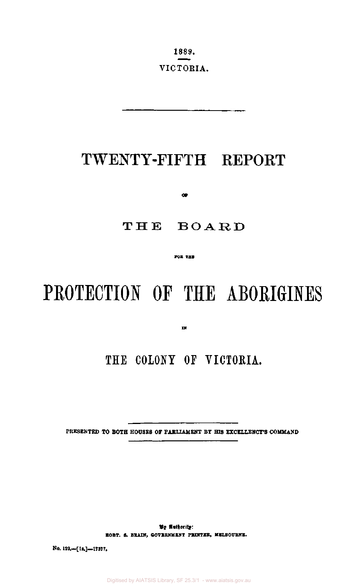1889. VICTORIA.

## TWENTY-FIFTH REPORT

**OF** 

### THE BOARD

**TOR THE** 

# PROTECTION OF THE ABORIGINES

**IN** 

### **THE COLONY OF VICTORIA.**

PRESENTED **TO BOTH** HOUSES OF PARLIAMENT BY HIS EXCELLENCY'S COMMAND

**By Authority: ROBT. S. BRAIN, GOVERNMENT PRINTER, MELBOURNE.** 

No. 129.—**[!•.]—**17377.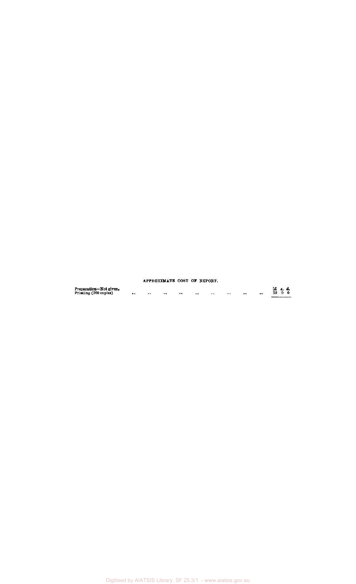|                                                 |                      |                  | APPROXIMATE COST OF REPORT. |           |      |                  |                 |  |
|-------------------------------------------------|----------------------|------------------|-----------------------------|-----------|------|------------------|-----------------|--|
| Preparation-Not given.<br>Printing (760 copies) | <br>$\bullet\bullet$ | $\bullet\bullet$ | <br>                        | $\bullet$ | <br> | $\bullet\bullet$ | E s. d.<br>2500 |  |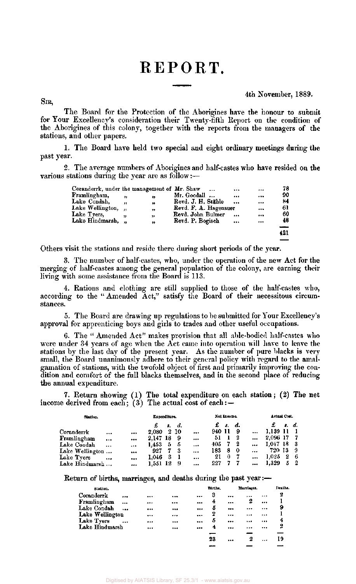### REPORT.

#### 4th November, 1889.

SIR,

The Board for the Protection of the Aborigines have the honour to submit for Your Excellency's consideration their Twenty-fifth Report on the condition of the Aborigines of this colony, together with the reports from the managers of the stations, and other papers.

1. The Board have held two special and eight ordinary meetings during the past year.

2. The average numbers of Aborigines and half-castes who have resided on the various stations during the year are as follow:—

| Coranderrk, under the management of Mr. Shaw |                         |    | $\cdots$              | <br>                    | 78  |
|----------------------------------------------|-------------------------|----|-----------------------|-------------------------|-----|
| Framlingham,                                 | ,,                      | ,, | Mr. Goodall           | <br>                    | 90  |
| Lake Condah,                                 | ,,                      | "  | Revd. J. H. Stähle    | <br>$$                  | 84  |
| Lake Wellington,                             | $\overline{\mathbf{u}}$ | ,  | Revd. F. A. Hagenauer | $\bullet\bullet\bullet$ | 61  |
| Lake Tyers,                                  |                         | ,, | Revd. John Bulmer     | <br>                    | 60  |
| Lake Hindmarsh, "                            |                         | ,, | Revd. P. Bogisch      | <br>                    | 48  |
|                                              |                         |    |                       |                         |     |
|                                              |                         |    |                       |                         | 421 |
|                                              |                         |    |                       |                         |     |

Others visit the stations and reside there during short periods of the year.

3. The number of half-castes, who, under the operation of the new Act for the merging of half-castes among the general population of the colony, are earning their living with some assistance from the Board is 113.

4. Rations and clothing are still supplied to those of the half-castes who, according to the " Amended Act," satisfy the Board of their necessitous circumstances.

5. The Board are drawing up regulations to be submitted for Your Excellency's approval for apprenticing boys and girls to trades and other useful occupations.

6. The " Amended Act" makes provision that all able-bodied half-castes who were under 34 years of age when the Act came into operation will have to leave the stations by the last day of the present year. As the number of pure blacks is very small, the Board unanimously adhere to their general policy with regard to the amalgamation of stations, with the twofold object of first and primarily improving the condition and comfort of the full blacks themselves, and in the second place of reducing the annual expenditure.

7. Return showing (1) The total expenditure on each station; (2) The net income derived from each; (3) The actual cost of each: $-$ 

| Station.        |           |          | Expenditure. |     |      |          |        | Net Income. |    |           | Actual Cost. |   |       |
|-----------------|-----------|----------|--------------|-----|------|----------|--------|-------------|----|-----------|--------------|---|-------|
|                 |           |          |              |     | d.   |          | £      | -3.         | а. |           |              |   | s. d. |
| Coranderrk      |           |          | 2.080        |     | 2 10 | $\cdots$ | 940 11 |             | 9  |           | 1,139 11     |   |       |
| Framlingham     | $\cdots$  |          | 2.147        | -18 | -9   |          | 51     |             | 2  |           | 2,096 17     |   |       |
| Lake Condah     | $\cdots$  | $\cdots$ | 1.453        | 5   | -5   |          | 405    |             | -2 | $\cdots$  | 1.047 18     |   | -3    |
| Lake Wellington |           |          | 927          |     |      | $\cdots$ | 183    | 8           | 0  | $\ddotsc$ | 720 13       |   | -9    |
| Lake Tyers      | $\ddotsc$ |          | 1.046        | 3   |      |          | 21     | 0           |    | $\cdots$  | 1,025        | 2 | -6    |
| Lake Hindmarsh  |           |          | 1.551 12     |     | -9   |          | 227    |             |    |           | 1.329        | 5 | -2    |

Return of births, marriages, and deaths during the past year :-

| Station.        |           |      |          | Births. |          | Marriages. |          | Deaths. |
|-----------------|-----------|------|----------|---------|----------|------------|----------|---------|
| Coranderrk      |           | <br> |          | 3       |          |            |          | 2       |
| Framlingham     |           | <br> | $\cdots$ | 4       |          | 2          | $\cdots$ |         |
| Lake Condah     | $\cdots$  | <br> |          | 5       |          | $\cdots$   |          | 9       |
| Lake Wellington |           | <br> |          | 2       | $\cdots$ |            |          |         |
| Lake Tyers      | $\ddotsc$ | <br> |          | 5       |          |            |          | 4       |
| Lake Hindmarsh  |           | <br> |          | 4       |          |            |          | 2       |
|                 |           |      |          |         |          |            |          |         |
|                 |           |      |          | 23      |          | 2          |          | 19      |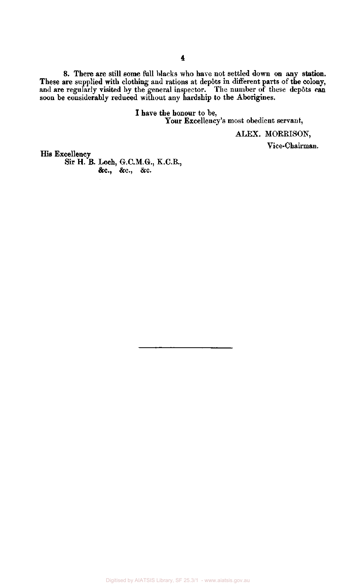8. There **are** still some full blacks who have not settled down on any **station.**  These are supplied with clothing and rations at depôts in different parts of the colony, and are regularly visited by the general inspector. The number of these depôts can soon be considerably reduced without any hardship to the Aborigines.

> I have the honour to be, Your Excellency's most obedient servant,

> > ALEX. MORRISON,

Vice-Chairman.

His Excellency

**Sir H. B. Loch, G.C.M.G., K.C.B., &c, &c, &c.**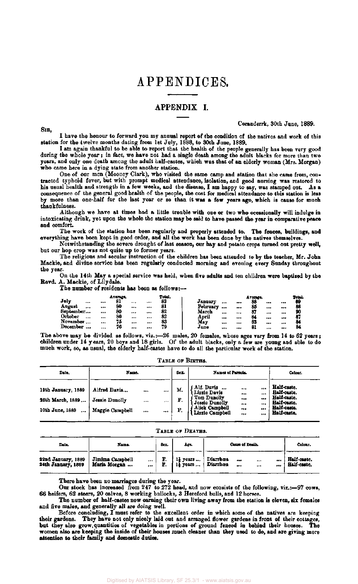### APPENDICES.

#### APPENDIX I.

SIR,

Coranderrk, 30th June, 1889.

I have the honour to forward you my annual report of the condition of the natives and work of this station for the twelve months dating from 1st July, 1888, to 30th June, 1889.

I am again thankful to be able to report that the health of the people generally has been very good during the whole year; in fact, we have not had a single death among the adult blacks for more than two years, and only one death among the adult half-castes, which was that of an elderly woman (Mrs. Morgan) who came here in a dying state from another station.

One of our men (Mooney Clark), who visited the same camp and station that she came from, contracted typhoid fever, but with prompt medical attendance, isolation, and good nursing was restored to his usual health and strength in a few weeks, and the disease, I am happy to say, was stamped out. As a consequence of the general good health of the people, the cost for medical attendance to this station is less by more than one-half for the last year or so than it was a few years ago, which is cause for much thankfulness.

Although we have at times had a little trouble with one or two who occasionally will indulge in intoxicating drink, yet upon the whole the station may be said to have passed the year in comparative peace and comfort.

The work of the station has been regularly and properly attended to. The fences, buildings, and everything have been kept in good order, and all the work has been done by the natives themselves.

Notwithstanding the severe drought of last season, our hay and potato crops turned out pretty well, but our hop crop was not quite up to former years.

The religious and secular instruction of the children has been attended to by the teacher, Mr. John Mackie, and divine service has been regularly conducted morning and evening every Sunday throughout the year.

On the 14th May a special service was held, when five adults and ten children were baptized by the Revd. A. Mackie, of Lilydale.

The number of residents has been as follows:—

|                     |          | Average. |    |       | Total. |          |    |    | Average. |          |       | Total |
|---------------------|----------|----------|----|-------|--------|----------|----|----|----------|----------|-------|-------|
| $J$ uly<br>         |          | 81       |    |       | 83     | January  |    |    | 88       |          |       | 89    |
| August<br>          |          | 80       | $$ |       | 81     | February |    |    | 85       | $\cdots$ |       | 88    |
| September           | 444      | 80       |    |       | 82     | March    |    |    | 87       |          |       | m     |
| October<br>         | $\cdots$ | 80       |    | $$    | 82     | April    | $$ | $$ | 84       |          | $***$ | 8.    |
| November<br>$1 + 4$ |          | 75       |    | $***$ | 83     | May      |    |    | 83       |          |       | 84    |
| <b>December</b><br> |          | 76       |    |       | 79     | June     |    |    | 81       |          | $***$ |       |

The above may be divided as follows, viz.:—26 males, 20 females, whose ages vary from 14 to 62 years ; children under 14 years, 20 boys and 18 girls. Of the adult blacks, only a few are young and able to do much work, so, as usual, the elderly half-castes have to do all the particular work of the station.

| Date.                                                                  | Name.                                             |                                 |                  | Sex.          | Names of Parents.                                                                                |                                                     | Colour.                                                                                |
|------------------------------------------------------------------------|---------------------------------------------------|---------------------------------|------------------|---------------|--------------------------------------------------------------------------------------------------|-----------------------------------------------------|----------------------------------------------------------------------------------------|
| 19th January, 1889<br>26th March, 1889<br>10th June, 1889<br>$\ddotsc$ | Alfred Davis<br>Jessie Dunolly<br>Maggie Campbell | <br><br>$\bullet\bullet\bullet$ | <br>$\cdots$<br> | м<br>F.<br>F. | Alf. Davis<br>Lizzie Davis<br>Tom Dunolly<br>Jessie Dunolly<br>Alick Campbell<br>Lizzie Campbell | <br><br><br><br><br><br><br>$$<br><br><br><br>5.4.8 | Half-caste.<br>Half-caste.<br>Half-caste.<br>Half-caste.<br>Half-caste.<br>Half-caste. |

| TABLE OF BIRTHS. |  |
|------------------|--|
|------------------|--|

#### **TABL E O F DEATHS .**

| Date.                                    | Name.                                                   | Ŝет. | Age.                                     |                                      | Cause of Death.        | Colour.                    |
|------------------------------------------|---------------------------------------------------------|------|------------------------------------------|--------------------------------------|------------------------|----------------------------|
| 22nd January, 1889<br>24th January, 1889 | Jimima Campbell<br>$\cdots$<br>Maria Morgan<br>$\cdots$ | F.   | $1\frac{1}{2}$ years<br>$1\bar{b}$ years | Diarrhœa<br>$\cdots$<br>Diarrhœa<br> | $\cdots$<br><br><br>$$ | Half-caste.<br>Half-caste. |

There have been no marriages during the year.

Our stock has increased from 247 to 272 head, and now consists of the following, viz.:—97 cows, 66 heifers, 62 steers, 20 calves, 8 working bullocks, 3 Hereford bulls, and 12 horses.

The number of half-castes now earning their own living away from the station is eleven, six females and five males, and generally all are doing well.

Before concluding, I must refer to the excellent order in which some of the natives are keeping their gardens. They have not only nicely laid out and arranged flower gardens in front of their cottages, but they also grow quantities of vegetables in portions of ground fenced in behind their houses. The women also are keeping the inside of their houses much cleaner than they used to do, and are giving more attention to their family and domestic duties.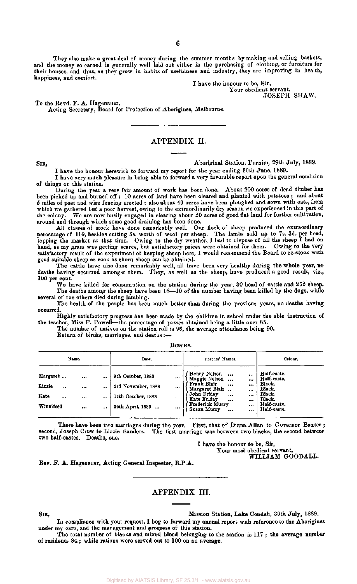They also make a great deal of money during the summer months by making and selling baskets, and the money so earned is generally well laid out either in the purchasing of clothing, or furniture for their houses, and thus, as they grow in habits of usefulness and industry, they are improving in health, happiness, and comfort.

I have the honour to be, Sir, Your obedient servant,

JOSEPH SHAW.

To the Revd. F. A. Hagenauer,

Acting Secretary, Board for Protection of Aborigines, Melbourne.

#### APPENDIX II.

SIB, Aboriginal Station, Purnim, 29th July, 1889.

I have the honour herewith to forward my report for the year ending 30th June, 1889.

I have very much pleasure in being able to forward a very favorable report upon the general condition of things on this station.

During the year a very fair amount of work has been done. About 200 acres of dead timber has been picked up and burned off"; 10 acres of land have been cleared and planted with potatoes ; and about 5 miles of post and wire fencing erected ; also about 40 acres have been ploughed and sown with oats, from which we gathered but a poor harvest, owing to the extraordinarily dry season we experienced in this part of the colony. We are now busily engaged in clearing about 20 acres of good flat land for further cultivation, around and through which some good draining has been done.

All classes of stock have done remarkably well. Our flock of sheep produced the extraordinary percentage of 110, besides cutting 5s. worth of wool per sheep. The lambs sold up to 7s. 3d. per head, topping the market at that time. Owing to the dry weather, I had to dispose of all the sheep I had on hand, as my grass was getting scarce, but satisfactory prices were obtained for them. Owing to the very satisfactory result of the experiment of keeping sheep here, I would recommend the Board to re-stock with good suitable sheep as soon as shorn sheep can be obtained.

The cattle have also done remarkably well, all have been very healthy during the whole year, no deaths having occurred amongst them. They, as well as the sheep, have produced a good result, viz., 100 per cent.

We have killed for consumption on the station during the year, 30 head of cattle and 262 sheep. The deaths among the sheep have been 16—10 of the number having been killed by the dogs, while

several of the others died during lambing. The health of the people has been much better than during the previous years, no deaths having occurred.

Highly satisfactory progress has been made by the children in school under the able instruction of the teacher, Miss F. Powell—the percentage of passes obtained being a little over 85.

The number of natives on the station roll is 96, the average attendance being 90.

Return of births, marriages, and deaths :—

| Name.                                              |                             |                                  | Date.                                                                             |                              | Parents' Names.                                                                                                                                                                       | Colour.                                          |                                                                                                  |
|----------------------------------------------------|-----------------------------|----------------------------------|-----------------------------------------------------------------------------------|------------------------------|---------------------------------------------------------------------------------------------------------------------------------------------------------------------------------------|--------------------------------------------------|--------------------------------------------------------------------------------------------------|
| Margaret<br>Lizzie<br>.<br>Kate<br>$$<br>Winnifred | <br>$$<br>$\cdots$<br>$***$ | $\cdots$<br>$\cdots$<br>$-1$<br> | 9th October, 1888<br>3rd November, 1888<br>14th October, 1888<br>29th April, 1889 | $\cdots$<br><br>$\cdots$<br> | Henry Nelson<br>Maggie Nelson<br><br>$\cdots$<br>Frank Blair<br><br>Margaret Blair<br>John Friday<br>Kate Friday<br>$\cdots$<br><br><b>Frederick Murry</b><br>Susan Murry<br>$\cdots$ | <br>$\cdots$<br><br><b>A 6 6</b><br><br><br><br> | Half-caste.<br>Half-caste.<br>Black.<br>Black.<br>Black.<br>Black.<br>Half-caste.<br>Half-caste. |

**Brevis** 

There have been two marriages during the year. First, that of Diana Allan to Governor Baxter ; second, Joseph Crow to Lizzie Sanders. The first marriage was between two blacks, the second between two half-castes. Deaths, one.

> I have the honour to be, Sir, Your most obedient servant, WILLIAM GOODALL.

Rev. F. A. Hagenauer, Acting General Inspector, B.P.A.

#### APPENDIX III.

SIR, Mission Station, Lake Condah, 30th July, 1889.

In compliance with your request, I beg to forward my annual report with reference to the Aborigines under my care, and the management and progress of this station.

The total number of blacks and mixed blood belonging to the station is 117 ; the average number of residents 84 ; while rations were served out to 100 on an average.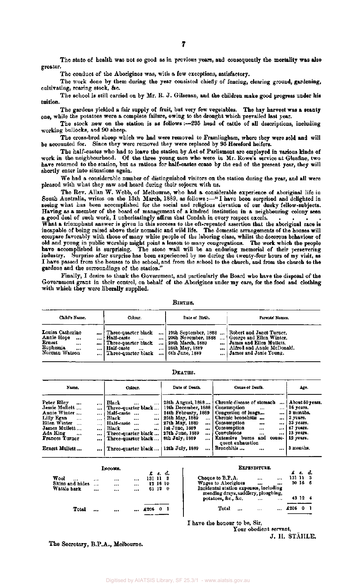The state of health was not so good as in previous years, and consequently the mortality was also greater.

The conduct of the Aborigines was, with a few exceptions, satisfactory.

The work done by them during the year consisted chiefly of fencing, clearing ground, gardening, cultivating, rearing stock, &c.

The school is still carried on by Mr. R. J. Gilsenan, and the children make good progress under his tuition.

The gardens yielded a fair supply of fruit, but very few vegetables. The hay harvest was a scanty one, while the potatoes were a complete failure, owing to the drought which prevailed last year.

The stock now on the station is as follows :—235 head of cattle of all descriptions, including working bullocks, and 90 sheep.

The cross-bred sheep which we had were removed to Framlingham, where they were sold and will be accounted for. Since they were removed they were replaced by 95 Hereford heifers.

The half-castes who had to leave the station by Act of Parliament are employed in various kinds of work in the neighbourhood. Of the three young men who were in Mr. Rowe's service at Glenfine, two have returned to the station, but as rations for half-castes cease by the end of the present year, they will shortly enter into situations again.

We had a considerable number of distinguished visitors on the station during the year, and all were pleased with what they saw and heard during their sojourn with us.

The Rev. Allan W. Webb, of Melbourne, who had a considerable experience of aboriginal life in South Australia, writes on the 13th March, 1889, as follows :—" I have been surprised and delighted in seeing what has been accomplished for the social and religious elevation of our dusky fellow-subjects. Having as a member of the board of management of a kindred institution in a neighbouring colony seen a good deal of such work, I unhesitatingly affirm that Condah in every respect excels

What a triumphant answer is given in this success to the oft-repeated assertion that the aboriginal race is incapable of being raised above their nomadic and wild life. The domestic arrangements of the houses will compare favorably with those of many white people of the laboring class, whilst the decorous behaviour of old and young in public worship might point a lesson to many congregations. The work which the people have accomplished is surprising. The stone wall will be an enduring memorial of their persevering industry. Surprise after surprise has been experienced by me during the twenty-four hours of my visit, as I have passed from the houses to the school, and from the school to the church, and from the church to the gardens and the surroundings of the station."

Finally, I desire to thank the Government, and particularly the Board who have the disposal of the Government grant in their control, on behalf of the Aborigines under my care, for the food and clothing with which they were liberally supplied.

BIRTHS.

| Child's Name.                                                                                                            | Colour.                                                                                                                     | Date of Birth.                                       | Parents' Names.                                                                                                                                                                         |
|--------------------------------------------------------------------------------------------------------------------------|-----------------------------------------------------------------------------------------------------------------------------|------------------------------------------------------|-----------------------------------------------------------------------------------------------------------------------------------------------------------------------------------------|
| Louisa Catherine<br>Annie Hope<br>$\cdots$<br>$\cdots$<br><b>Ernest</b><br><br>Euphemia<br>$\cdots$<br><br>Norman Watson | Three-quarter black<br>Half-caste<br><br>Three-quarter black<br>  Half-caste<br>$\overline{a}$<br><br>  Three-quarter black | 29th March, 1889<br>25th May, 1889<br>6th June, 1889 | 19th September, 1888  Robert and Janet Turner.<br>20th November, 1888    George and Ellen Winter.<br>James and Ellen Muliett.<br>Alfred and Annie McDonald.<br>  James and Janie Young. |

DEATHS.

| Name.                                                                                                                                                         |                                                                              | Colour.                                                                                                                                                                                      | Date of Death.                                                                                                                                                                                       | Cause of Death.                                                                                                                                                                                                                                              | Age.                                                                                                                              |
|---------------------------------------------------------------------------------------------------------------------------------------------------------------|------------------------------------------------------------------------------|----------------------------------------------------------------------------------------------------------------------------------------------------------------------------------------------|------------------------------------------------------------------------------------------------------------------------------------------------------------------------------------------------------|--------------------------------------------------------------------------------------------------------------------------------------------------------------------------------------------------------------------------------------------------------------|-----------------------------------------------------------------------------------------------------------------------------------|
| Peter Rilev<br><br>Jessie Mullett<br>Annie Winter<br>Lilly Egan<br>$\cdots$<br>Ellen Winter<br>James Mullett<br>Ada King<br>$\cdots$<br><b>Frances Turner</b> | $\cdots$<br>$\cdots$<br>$\cdots$<br>$\cdots$<br>$\cdots$<br>$\cdots$<br><br> | Black<br>$\cdots$<br>  Three-quarter black<br>Half-caste<br><br>Black<br><br>$\cdots$<br>Half-caste<br>$\overline{a}$<br>Black<br><br>$\cdots$<br>Three-quarter black<br>Three-quarter black | 28th August, 1888<br>19th December, 1888<br>24th February, 1889<br>25th May, 1889<br>$\cdots$<br>27th May, 1889<br><br>1st June, 1889<br>$\cdots$<br>  27th June, 1889<br>8th July, 1889<br>$\cdots$ | Chronic disease of stomach<br>Consumption<br>$\cdots$<br>Congestion of lungs<br>Chronic bronchitis<br>$\bullet$<br>Consumption<br><br><br><b>Consumption</b><br><br>$-1$<br>: Convulsions<br>$- - -$<br>Extensive burns<br>and<br>couse-<br>quent exhaustion | $\ldots$   About 50 years.<br>16 уеатв.<br>$\ldots$   3 months,<br>3 уеагз.<br>33 years.<br>47 усага.<br>  13 уеага.<br>12 years. |
| Ernest Mullett                                                                                                                                                |                                                                              | Three-quarter black                                                                                                                                                                          | 12th July, 1889<br>$\cdots$                                                                                                                                                                          | Bronchitis<br>$\cdots$<br>$\cdots$                                                                                                                                                                                                                           | 3 months.                                                                                                                         |

|                 |   | Інсоми. |          | £        |          | s. d. |
|-----------------|---|---------|----------|----------|----------|-------|
| Wool<br>        |   |         |          | 131 11 3 |          |       |
| Skins and hides | . |         |          |          | 12 16 10 |       |
| Wattle bark     |   |         | $\cdots$ |          | 61 12 0  |       |
|                 |   |         |          |          |          |       |
| Total           |   |         |          | £206     |          |       |

#### **ExPENDITURE.**

£ *8.* 

| Cheque to B.P.A.<br>Wages to Aborigines | <br><br><br><br>Incidental station expenses, including<br>mending drays, saddlery, ploughing,<br>potatoes, &c., &c.<br>$\cdots$ |           |               |       |    |  |  |  |
|-----------------------------------------|---------------------------------------------------------------------------------------------------------------------------------|-----------|---------------|-------|----|--|--|--|
|                                         |                                                                                                                                 | $\ddotsc$ |               | 43 12 | -4 |  |  |  |
| Total                                   | $1 + 1$                                                                                                                         |           | $\ldots$ £206 |       |    |  |  |  |

I have the honour to be, Sir,

Your obedient servant, J. II. STÄHLE.

The Secretary, B.P.A., Melbourne.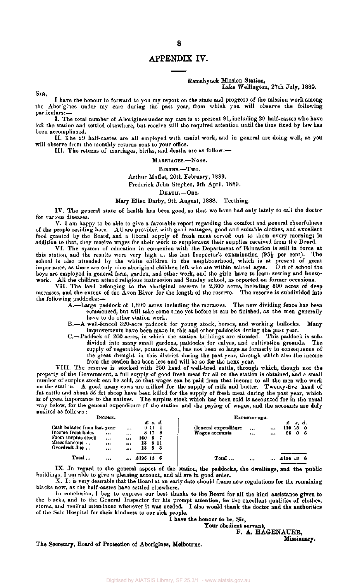#### APPENDIX IV.

#### Ramahyuck Mission Station, Lake Wellington, 27th July, 1889.

SIR,

I have the honour to forward to you my report on the state and progress of the mission work among the Aborigines under my care during the past year, from which you will observe the following particulars:—

I. The total number of Aborigines under my care is at present 91, including 29 half-castes who have left the station and settled elsewhere, but receive still the required attention until the time fixed by law has been accomplished.

II. The 29 half-castes are all employed with useful work, and in general are doing well, as you will observe from the monthly returns sent to your office.

**III.** The returns of marriages, births, and deaths are as follow:—

MARRIAGES.—None.

BIRTHS.—Two.

#### Arthur Moffat, 20th February, 1889.

Frederick John Stephen, 9th April, 1889.

DEATH.—One.

#### Mary Ellen Darby, 9th August, 1888. Teething.

IV. The general state of health has been good, so that we have had only lately to call the doctor for various diseases.

V. I am happy to be able to give a favorable report regarding the comfort and general cheerfulness of the people residing here. All are provided with good cottages, good and suitable clothes, and excellent food granted by the Board, and a liberal supply of fresh meat served out to them every morning; in addition to that, they receive wages for their work to supplement their supplies received from the Board.

VI. The system of education in connexion with the Department of Education is still in force at this station, and the results were very high at the last Inspector's examination  $(95\frac{1}{2})$  per cent). The school is also attended by the white children in the neighbourhood, which is at present of great importance, as there are only nine aboriginal children left who are within school ages. Out of school the boys are employed in general farm, garden, and other work, and the girls have to learn sewing and housework. All the children attend religious instruction and Sunday school, as reported on former occasions.

VII. The land belonging to the aboriginal reserve is 2,300 acres, including 500 acres of deep morasses, and the extent of the Avon River for the length of the reserve. The reserve is subdivided into the following paddocks:—

- A.—Large paddock of 1,800 acres including the morasses. The new dividing fence has been commenced, but will take some time yet before it can be finished, as the men generally have to do other station work.
- B.—A well-fenced 320-acre paddock for young stock, horses, and working bullocks. Many improvements have been made in this and other paddocks during the past year.
- C.—Paddock of 200 acres, in which the station buildings are situated. This paddock is subdivided into many small gardens, paddocks for calves, and cultivation grounds. The supply of vegetables, potatoes, &c., has not been so large as formerly in consequence of the great drought in this district during the past year, through which also the income from the station has been less and will be so for the next year.

VIII. The reserve is stocked with 250 head of well-bred cattle, through which, though not the property of the Government, a full supply of good fresh meat for all on the station is obtained, and a small number of surplus stock can be sold, so that wages can be paid from that income to all the men who work on the station. A good many cows are milked for the supply of milk and butter. Twenty-five head of fat cattle and about 55 fat sheep have been killed for the supply of fresh meat during the past year, which is of great importance to the natives. The surplus stock which has been sold is accounted for in the usual way below, for the general expenditure of the station and the paying of wages, and the accounts are duly audited as follows :-

| INCOME.                                                                                                  |                              |                            |                  |            |                               | EXPENDITURE.                          |      |                |              |            |           |  |  |  |
|----------------------------------------------------------------------------------------------------------|------------------------------|----------------------------|------------------|------------|-------------------------------|---------------------------------------|------|----------------|--------------|------------|-----------|--|--|--|
| Cash balance from last year<br>Income from hides<br>From surplus stock<br>Miscellaneous<br>Overdraft due | $\cdots$<br>$\cdots$<br><br> | $\cdots$<br><br><br>$$<br> | 160.<br>13<br>13 | 0 11<br>9. | £ s. d.<br>8178<br>-911<br>53 | General expenditure<br>Wages accounts | <br> | $\cdots$<br>$$ | 110 13<br>86 | s. d.<br>0 | - 0<br>-6 |  |  |  |
| Total                                                                                                    |                              | $\cdots$                   | £196 13 6        |            |                               | Total                                 |      |                | £196 13      |            |           |  |  |  |

IX. In regard to the general aspect of the station, the paddocks, the dwellings, and the public buildings, I am able to give a pleasing account, and all are in good order.

X. It is very desirable that the Board at an early date should frame new regulations for the remaining blacks now, as the half-castes have settled elsewhere.

In conclusion, I beg to express our best thanks to the Board for all the kind assistance given to the blacks, and to the General Inspector for his prompt attention, for the excellent qualities of clothes, stores, and medical attendance whenever it was needed. I also would thank the doctor and the authorities of the Sale Hospital for their kindness to our sick people.

I have the honour to be, Sir,

**Your** obedient servant,

F. **A. HAGENAUER,** 

**Missionary.** 

The Secretary, Board of Protection of Aborigines, Melbourne.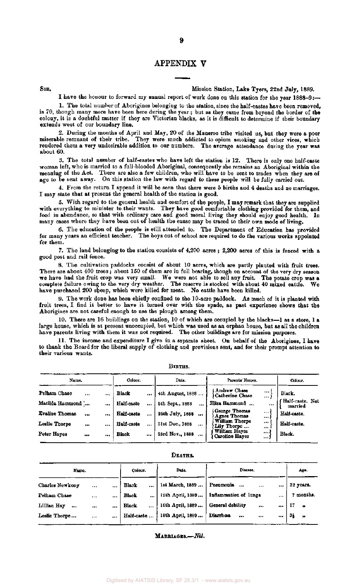#### APPENDIX V

#### SIR, Mission Station, Lake Tyers, 22nd July, 1889.

I have the honour to forward my annual report of work done on this station for the year 1888-9:—

1. The total number of Aborigines belonging to the station, since the half-castes have been removed, is 70, though many more have been here during the year ; but as they came from beyond the border of the colony, it is a doubtful matter if they are Victorian blacks, as it is difficult to determine if their boundary extends west of our boundary line.

2. During the months of April and May, 20 of the Maneroo tribe visited us, but they were a poor miserable remnant of their tribe. They were much addicted to opium smoking and other vices, which rendered them a very undesirable addition to our numbers. The average attendance during the year was about 60.

3. The total number of half-castes who have left the station is 12. There is only one half-caste woman left, who is married to a full-blooded Aboriginal, consequently she remains an Aboriginal within the meaning of the Act. There are also a few children, who will have to be sent to trades when they are of age to be sent away. On this station the law with regard to these people will be fully carried out.

4. From the return I append it will be seen that there were 5 births and 4 deaths and no marriages. I may state that at present the general health of the station is good.

5. With regard to the general health and comfort of the people, I may remark that they are supplied with everything to minister to their wants. They have good comfortable clothing provided for them, and food in abundance, so that with ordinary care and good moral living they should enjoy good health. In many cases where they have been out of health the cause may be traced to their own mode of living.

6. The education of the people is still attended to. The Department of Education has provided for many years an efficient teacher. The boys out of school are required to do the various works appointed for them.

7. The land belonging to the station consists of 4,200 acres ; 2,200 acres of this is fenced with a good post and rail fence.

8. The cultivation paddocks consist of about 10 acres, which are partly planted with fruit trees. There are about 400 trees; about 150 of them are in full bearing, though on account of the very dry season we have had the fruit crop was very small. We were not able to sell any fruit. The potato crop was a complete failure owing to the very dry weather. The reserve is stocked with about 40 mixed cattle. We have purchased 200 sheep, which were killed for meat. No cattle have been killed.

9. The work done has been chiefly confined to the 10-acre paddock. As much of it is planted with fruit trees, I find it better to have it turned over with the spade, as past experience shows that the Aborigines are not careful enough to use the plough among them.

10. There are 16 buildings on the station, 10 of which are occupied by the blacks—1 as a store, 1 a large house, which is at present unoccupied, but which was used as an orphan house, but as all the children have parents living with them it was not required. The other buildings are for mission purposes.

11. The income and expenditure I give in a separate sheet. On behalf of the Aborigines, I have to thank the Board for the liberal supply of clothing and provisions sent, and for their prompt attention to their various wants.

| Name.                             |                                     | Colour.                  | Date.                                                      | Parents' Names.                                          | Colour.                    |
|-----------------------------------|-------------------------------------|--------------------------|------------------------------------------------------------|----------------------------------------------------------|----------------------------|
| Pelham Chase<br>Matilda Hammond ' | <br>$\cdots$                        | Black                    | <br>4th August, 1888                                       | Andrew Chase<br><br>Catherine Chase<br><br>Eliza Hammond | Black.<br>Half-caste. Not  |
| <b>Evaline Thomas</b>             | <br><br>                            | Half-caste<br>Half-caste | <br><br>5th Sept., 1888<br>$\cdots$<br>25th July, 1888<br> | George Thomas<br><br><b>Agnes Thomas</b><br>             | <br>married<br>Half-caste. |
| Leslie Thorpe                     | $\bullet\bullet\bullet$<br>$\cdots$ | Half-caste               | <br>31st Dec., 1888<br>                                    | William Thorpe<br><br>Lily Thorpe<br><br>William Hayes   | Half-caste.                |
| Peter Hayes                       | <br>                                | <b>Black</b>             | <br>23rd Nov., 1888<br>.11.1                               | $\cdots$<br>Caroline Hayes<br>$\cdots$                   | Black.                     |

#### BIRTHS.

| × |
|---|
|---|

| Name.                   |          | Colour.               | Date.            | Disease.                          | Age.             |
|-------------------------|----------|-----------------------|------------------|-----------------------------------|------------------|
| <b>Charles Newkony</b>  |          | <br>Black<br>         | 1st March, 1889  | Pneumonia<br>$\ddotsc$<br>$$<br>  | 32 years.        |
| Pelham Chase            | $\cdots$ | <br><b>Black</b><br>  | 12th April, 1889 | Inflammation of lungs<br>$\cdots$ | 7 months.        |
| Lillian Hay<br>$\cdots$ |          | <br>Black<br>$\cdots$ | 16th April, 1889 | General debility<br><br>          | $\boldsymbol{v}$ |
| Leslie Thorpe           | $\cdots$ | <br>Half-caste        | 18th April, 1889 | Diarrhosa<br>$\cdots$<br>$$<br>   | 31<br>"          |

#### MARRIAGES.—*Nil.*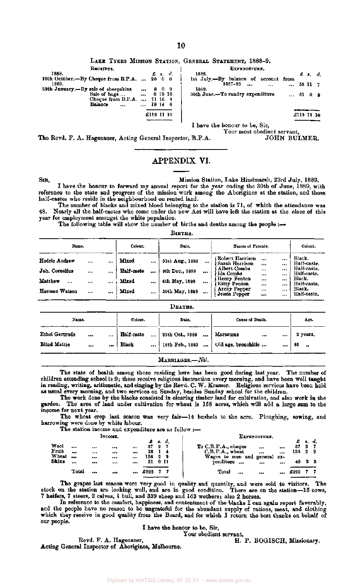LAKE TYERS MISSION STATION, GENERAL STATEMENT, 1888-9.

| RECEIPTS.                                                                                                                |                                     |            |                                  | EXPENDITURE.                                                                                                                                    |                              |               |
|--------------------------------------------------------------------------------------------------------------------------|-------------------------------------|------------|----------------------------------|-------------------------------------------------------------------------------------------------------------------------------------------------|------------------------------|---------------|
| 1888.<br>10th October. - By Cheque from B.P.A.  20 0 0<br>1889.<br>29th January.-By sale of sheepskins<br>Sale of $bag.$ | <br>                                |            | $\pmb{\pmb{z}}$ s. d.<br>0 19 10 | 1888.<br>lst July.-By balance of<br>account from<br>188.-88<br>$\bullet$ and $\bullet$<br>$\cdots$<br>1889.<br>30th June.-To sundry expenditure | $E = 3$<br>58 11 7<br>61 0 3 | $\mathcal{A}$ |
| Cheque from B.P.A.<br>Balance<br>$\cdots$                                                                                | $\bullet\bullet\bullet$<br>$\cdots$ | £119 11 10 | 71 16 9<br>18 14 6               |                                                                                                                                                 | £119 11 10                   |               |
|                                                                                                                          |                                     |            |                                  | I have the honour to be. Sir.                                                                                                                   |                              |               |

I have the honour to be, Sir, Your most obedient servant,

The Revd. F. A. Hagenauer, Acting General Inspector, B.P.A. JOHN BULMER.

#### APPENDIX VI.

SIR, Mission Station, Lake Hindmarsh, 23rd July, 1889.

I have the honour to forward my annual report for the year ending the 30th of June, 1889, with reference to the state and progress of the mission work among the Aborigines at the station, and those half-castes who reside in the neighbourhood on rented land.

The number of blacks and mixed blood belonging to the station is 71, of which the attendance was 48. Nearly all the half-castes who come under the new Act will have left the station at the close of this year for employment amongst the white population.

The following table will show the number of births and deaths among the people :-

BIRTHS.

| Name.                                                                           |                      | Colour.                               |                      | Date.                                                                |                              | Names of Parents.                                                                                                               |                                                 | Colour.                              |                                                                                                       |
|---------------------------------------------------------------------------------|----------------------|---------------------------------------|----------------------|----------------------------------------------------------------------|------------------------------|---------------------------------------------------------------------------------------------------------------------------------|-------------------------------------------------|--------------------------------------|-------------------------------------------------------------------------------------------------------|
| Hedric Andrew<br><br>Joh. Cornelius<br><br>Matthew<br><br><br>Herman Watson<br> | $\cdots$<br><br><br> | Mixed<br>Half-caste<br>Mixed<br>Mixed | <br><br><br>$\cdots$ | 31st Aug., 1888<br>9th Dec., 1888<br>6th May, 1889<br>30th May, 1889 | <br>$\cdots$<br>$\cdots$<br> | Robert Harrison<br>Sarah Harrison<br>Albert Combs<br>Ida Combs<br>Henry Fenton<br>Kitty Fenton<br>Archy Pepper<br>Jessie Pepper | $\ddotsc$<br><br><br>$$<br><br><br><br>$\cdots$ | <br><br><br>$\cdots$<br><br><br><br> | Black.<br>Half-caste.<br>Half-caste.<br>Half-caste.<br>Black.<br>Half-caste.<br>Black.<br>Half-caste. |

|                                                       | DEATHS.      |                     |           |                              |                                                                  |                                                        |  |  |  |  |  |  |  |  |
|-------------------------------------------------------|--------------|---------------------|-----------|------------------------------|------------------------------------------------------------------|--------------------------------------------------------|--|--|--|--|--|--|--|--|
| Name.                                                 |              | Colour.             |           | Date,                        | Cause of Death.                                                  | Age.                                                   |  |  |  |  |  |  |  |  |
| Ethel Gertrude<br><br><b>Blind Mattie</b><br>$\cdots$ | $\cdots$<br> | Half-caste<br>Black | $\ddotsc$ | 25th Oct., 1888<br>$\ddotsc$ | Marasmus<br>$\cdots$<br>  16th Feb., 1889    Old age, bronchitis | 2 years.<br>$\cdots$<br>85<br>$\cdots$<br>$^{\bullet}$ |  |  |  |  |  |  |  |  |



The state of health among those residing here has been good during last year. The number of children attending school is 9; these receive religious instruction every morning, and have been well taught in reading, writing, arithmetic, and singing by the Revd. C. W. Kramer. Religious services have been held as usual every morning, and two services on Sunday, besides Sunday school for the children.

The work done by the blacks consisted in clearing timber land for cultivation, and also work in the garden. The area of land under cultivation for wheat is 158 acres, which will add a large sum to the income for next year.

The wheat crop last season was very fair—14 bushels to the acre. Ploughing, sowing, and harrowing were done by white labour.

The station income and expenditure are as follow :—

|                  |                       |          |                      |        |                   |             | EXPENDITURE.                                                                              |           |                         |                             |
|------------------|-----------------------|----------|----------------------|--------|-------------------|-------------|-------------------------------------------------------------------------------------------|-----------|-------------------------|-----------------------------|
| $\cdots$<br><br> | <br>$$<br>$\cdots$    | <br><br> | £<br>37<br>28<br>136 | 2<br>2 | ₫.<br>7<br>4<br>9 |             | To C.B.P.A., cheque<br><br>.<br>$C.B.P.A.,$ wheat<br><br><br>Wages to men and general ex- |           | 2<br>29                 | -7                          |
| <br>Total        | <br>$7 + 4$           | <br>     | $\pounds 222$        |        |                   |             | <br>$\cdots$<br>Total<br><br><br>                                                         |           |                         |                             |
|                  | <br><br><br>$***$<br> | INCOME.  |                      | 21     |                   | - 8.<br>0 H |                                                                                           | penditure | 37<br>136<br>49<br>£222 | £ s. d.<br>$2 \overline{3}$ |

The grapes last season were very good in quality and quantity, and were sold to visitors. The stock on the station are looking well, and are in good condition. There are on the station—15 cows, 7 heifers, 7 steers, 2 calves, 1 bull, and 339 sheep and 163 wethers; also 2 horses.

In reference to the comfort, happiness, and contentment of the blacks I can again report favorably, and the people have no reason to be ungrateful for the abundant supply of rations, meat, and clothing which they receive in good quality from the Board, and for which I return the best thanks on behalf of our people.

I have the honour to be, Sir,

Your obedient servant,

Acting General Inspector of Aborigines, Melbourne.

Revd. F. A. Hagenauer, T. A. H. P. BOGISCH, Missionary.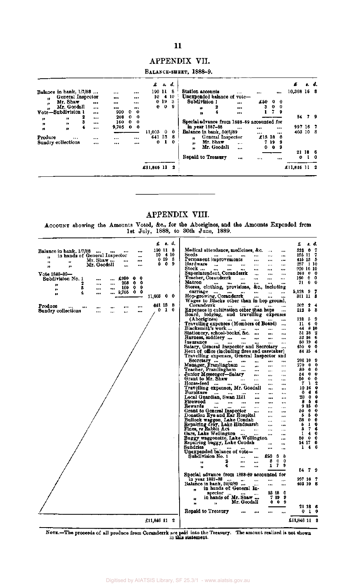#### APPENDIX VII.

BALANCE-SHEET, 1888-9.

|          |                                                |        |              |                      |                                          |                                    | £             |                                 | s, d,     | . d.<br>£                                                                                                                                                   |            |
|----------|------------------------------------------------|--------|--------------|----------------------|------------------------------------------|------------------------------------|---------------|---------------------------------|-----------|-------------------------------------------------------------------------------------------------------------------------------------------------------------|------------|
| n        | Balance in bank, $1/7/88$<br>General Inspector |        |              | $\cdots$<br>$\cdots$ |                                          | $\cdots$<br>                       | 190 11<br>10. |                                 | 8<br>4 10 | 10,368 16 8<br>Station accounts<br>$***$<br><br><br>Unexpended balance of vote-                                                                             |            |
| 99<br>,, | Mr. Shaw<br>Mr. Goodall                        |        | $\cdots$<br> | $\cdots$<br>$\cdots$ |                                          | <br>$-1$                           | 0             | 0 <sub>19</sub><br>$\mathbf{o}$ | 3<br>9    | Subdivision 1<br>£50<br>0<br>$^{\circ}$<br><br>$\mathbf{o}$<br>3<br>$\overline{\mathbf{0}}$<br>2<br><br>n                                                   |            |
| n        | Vote-Subdivision 1<br>,,                       | 2<br>3 | <br>         | 930<br>208<br>160    | $\bullet$<br>$\mathbf 0$<br>$\mathbf{0}$ | $\mathbf{0}$<br>-0<br>$\mathbf{0}$ |               |                                 |           | 7<br>9<br><br>n<br>54 7 9<br>Special advance from 1888-89 accounted for                                                                                     |            |
| ,,<br>n  | ,,<br>Ħ                                        | 4      | <br>         | 9,705                |                                          | 0 <sub>0</sub>                     | 11,003        | $\mathbf{0}$                    | - 0       | in year 1887-88<br>997 16 7<br><br><br>$***$<br>Balance in bank, 30/6/89<br>403 10 8<br><br>144                                                             |            |
| Produce  | <br>Sundry collections                         |        | $\cdots$<br> | <br>                 |                                          | <br>$\cdots$                       | 641<br>0      | 13<br>1                         | -8<br>0   | General Inspector<br>$£13$ 18 0<br>,,<br>Mr. Shaw<br>719<br>- 9<br>$\bullet\bullet$<br>$\cdots$<br>Mr. Goodall<br>- 9<br>$\bullet$<br>0<br>$\mathbf{r}$<br> |            |
|          |                                                |        |              |                      |                                          |                                    |               |                                 |           | 21 18 6<br>Repaid to Treasury<br>0.<br><br><br>                                                                                                             | $1 \theta$ |
|          |                                                |        |              |                      |                                          |                                    | £11,846 11    |                                 | 2         | £11,846 11 2                                                                                                                                                |            |

#### APPENDIX VIII.

ACCOUNT showing the Amounts Voted, &c, for the Aborigines, and the Amounts Expended from 1st July, 1888, to 30th June, 1889.

|                                    |                               |              |              |                      | £            | s. d.             |             |                                                             |           |                      |                         |                      |                       | £                  | s.                      | đ.     |
|------------------------------------|-------------------------------|--------------|--------------|----------------------|--------------|-------------------|-------------|-------------------------------------------------------------|-----------|----------------------|-------------------------|----------------------|-----------------------|--------------------|-------------------------|--------|
| Balance in bank, 1/7/88            |                               | $\cdots$     |              |                      | 190 11 8     |                   |             | Medical attendance, medicines, &c.                          |           |                      |                         | $\ddotsc$            |                       | 523                | o                       | 7      |
| 19                                 | in hands of General Inspector |              |              | $\cdots$             |              | $10 + 10$         |             | Seeds                                                       |           |                      |                         | دە                   |                       | 195 11             |                         | 7      |
| 99                                 | 12                            | Mr. Shaw     | $\ddotsc$    |                      |              | 0198              |             | Permanent improvements                                      |           |                      |                         |                      | مدو                   | 415 13             |                         | ь      |
| 33                                 | ,,                            | Mr. Goodall  | $\ddotsc$    |                      |              | $0\quad 0\quad 9$ |             | Hardware<br>$\ddot{\phantom{0}}$                            | $\ddotsc$ | $\cdots$             | $\ddotsc$               |                      |                       | 257                |                         | -110   |
|                                    |                               |              |              |                      |              |                   |             | Stock<br>$\ddot{\phantom{a}}$<br>Superintendent, Coranderrk |           |                      | $\ddotsc$               |                      |                       | 920 16 10<br>160   | $\mathbf{0}$            | 0      |
| Vote 1888-89-<br>Subdivision No. 1 |                               |              | £980         | 0<br>0               |              |                   |             | Teacher, Coranderrk                                         |           |                      | $\cdots$<br>            | <br>                 | <br>                  | 160 -              | Û                       | 0      |
|                                    | 2                             | <br>         | <br>208      | ٥<br>0               |              |                   |             | Matron                                                      |           |                      |                         |                      |                       | 71.                | 0                       | 0      |
| $\bullet$<br>33                    | ß                             | $\cdots$     | <br>160      | 0<br>0               |              |                   |             | Stores, clothing, provisions, &c.,                          |           |                      |                         | including            |                       |                    |                         |        |
| J)                                 | 4                             |              | <br>9,705    | 0.<br>0              |              |                   |             | carriage<br>                                                | $***$     |                      | $\bullet\bullet\bullet$ | $\cdots$             |                       | 5,128 9            |                         | 7      |
|                                    |                               |              |              |                      | 11,003 0     |                   | - 0         | Hop-growing, Coranderrk                                     |           |                      |                         |                      |                       | 811 11             |                         | з      |
|                                    |                               |              |              |                      | 641 18       |                   | - 8         | Wages to Blacks other than in hop ground,<br>Coranderrk     |           |                      |                         |                      |                       | 802                | 2                       | 4      |
| Produce<br>Sundry collections      |                               | <br>$\cdots$ | <br>$\cdots$ | $\ddot{\bullet}$<br> |              | 01                | $\mathbf 0$ | <b>Expenses in cultivation other than hope</b>              |           |                      |                         |                      | <br>                  | 212                | 5                       | 8      |
|                                    |                               |              | <br>مود      |                      |              |                   |             | Board, lodging, and travelling expenses                     |           |                      |                         |                      |                       |                    |                         |        |
|                                    |                               |              |              |                      |              |                   |             | (Aborigines)                                                |           |                      |                         |                      |                       | 118                | 5                       | 9      |
|                                    |                               |              |              |                      |              |                   |             | Travelling expenses (Members of Board)                      |           |                      |                         |                      | $-74$                 | и                  | 6                       | 0      |
|                                    |                               |              |              |                      |              |                   |             | Blacksmith's work                                           |           | $\cdots$             |                         |                      | $\cdots$              |                    | 44 8 10<br>51 18        | 2      |
|                                    |                               |              |              |                      |              |                   |             | Stationery, school-books, &c.<br>Harness, saddlery          |           | $\cdots$             | $\cdots$                | <br>                 |                       |                    | 33 16                   | 6      |
|                                    |                               |              |              |                      |              |                   |             | Insurance                                                   |           |                      |                         |                      | <br>$\cdots$          |                    | 80 19                   | 6      |
|                                    |                               |              |              |                      |              |                   |             | Salary, General Inspector and Secretary                     |           |                      |                         |                      | $\cdots$              | 450 0              |                         | 0      |
|                                    |                               |              |              |                      |              |                   |             | Rent of office (including fires and caretaker)              |           |                      |                         |                      |                       |                    | 84 15                   | 4      |
|                                    |                               |              |              |                      |              |                   |             | Travelling expenses, General Inspector and                  |           |                      |                         |                      |                       |                    |                         |        |
|                                    |                               |              |              |                      |              |                   |             | Secretary<br>Manager, Framlingham                           |           | $\cdots$             |                         | $\cdots$             |                       | 206 10<br>270      | - 0                     | 9<br>0 |
|                                    |                               |              |              |                      |              |                   |             | Teacher, Framlingham                                        |           |                      | $\cdots$<br>            | $\cdots$<br>$\cdots$ |                       | 80                 | $\bf{0}$                | 0      |
|                                    |                               |              |              |                      |              |                   |             | Junior Messenger-Salary                                     |           |                      |                         |                      | $\cdots$<br>$\ddotsc$ | 54                 | -0                      | 0      |
|                                    |                               |              |              |                      |              |                   |             | Grant to Mr. Shaw                                           |           |                      | $\cdots$                |                      |                       | 60                 | 0                       | 0      |
|                                    |                               |              |              |                      |              |                   |             | Horse-feed                                                  |           | $\ddot{\phantom{0}}$ |                         | $\cdots$             | $\ddot{\phantom{a}}$  | 7                  | 1                       | 2      |
|                                    |                               |              |              |                      |              |                   |             | Travelling expenses, Mr. Goodall                            |           |                      |                         |                      |                       |                    | 10 16                   | Û      |
|                                    |                               |              |              |                      |              |                   |             | Furniture<br>Local Guardian, Swan Hill                      |           |                      | $\ddot{\bullet}$        |                      | $\ddotsc$<br>$\cdots$ | 0<br>20            | 6<br>- 0                | 6<br>0 |
|                                    |                               |              |              |                      |              |                   |             | Firewood<br>                                                |           |                      | <br>                    | <br>                 |                       | 8                  | - 5                     | 6      |
|                                    |                               |              |              |                      |              |                   |             | Rewards<br>                                                 |           |                      | $\ddotsc$               | $\cdots$             | $\cdots$              |                    | 915                     | 0      |
|                                    |                               |              |              |                      |              |                   |             | Grant to General Inspector                                  |           |                      |                         | $\cdots$             | $\ddotsc$             | 50                 | 0                       | 0      |
|                                    |                               |              |              |                      |              |                   |             | Donation Eye and Ear Hospital                               |           |                      |                         | $\cdots$             |                       | 5                  | -5                      | 0      |
|                                    |                               |              |              |                      |              |                   |             | Bullock waggon, Lake Condah                                 |           |                      |                         | $\cdots$             | $\ddotsc$             | 38<br>Б            | 0<br>1                  | 0<br>Û |
|                                    |                               |              |              |                      |              |                   |             | Repairing dray, Lake Hindmarsh<br>Fines, re Rabbit Act      |           |                      |                         | <br>$\cdots$         | <br>$\ddotsc$         | 3                  | 7                       | 6      |
|                                    |                               |              |              |                      |              |                   |             | Oars, Lake Wellington                                       |           |                      |                         |                      | $\ddot{\phantom{0}}$  | 1                  | 4                       | 0      |
|                                    |                               |              |              |                      |              |                   |             | Buggy waggonette, Lake Wellington                           |           |                      |                         |                      |                       | 50.                | 0                       | 0      |
|                                    |                               |              |              |                      |              |                   |             | Repairing buggy, Lake Condah                                |           |                      |                         |                      | $\cdots$              |                    | 14 17                   | 0      |
|                                    |                               |              |              |                      |              |                   |             | <b>Sundries</b>                                             |           |                      |                         |                      |                       | 1                  | $\overline{\mathbf{4}}$ | 6      |
|                                    |                               |              |              |                      |              |                   |             | Unexpended balance of vote—<br>Subdivision No. 1            |           |                      |                         | £50                  | 0<br>0                |                    |                         |        |
|                                    |                               |              |              |                      |              |                   |             | ,,                                                          | 2         | $\cdots$<br>         |                         | 8                    | 0<br>0                |                    |                         |        |
|                                    |                               |              |              |                      |              |                   |             | $\bullet$                                                   | 4         | ***                  |                         | 1                    | 7.<br>9               |                    |                         |        |
|                                    |                               |              |              |                      |              |                   |             |                                                             |           |                      |                         |                      |                       |                    | 54 7                    | 9      |
|                                    |                               |              |              |                      |              |                   |             | Special advance from 1888-89 accounted for                  |           |                      |                         |                      |                       |                    |                         |        |
|                                    |                               |              |              |                      |              |                   |             | in year 1887-88<br>Balance in bank. 80/6/89                 |           |                      | $\ddotsc$               |                      |                       | 997 16<br>403 10 6 |                         | -7     |
|                                    |                               |              |              |                      |              |                   |             | in hands of General In-                                     |           |                      |                         |                      | 1.1                   |                    |                         |        |
|                                    |                               |              |              |                      |              |                   |             | n<br>spector                                                |           |                      |                         | 13 18                | 0                     |                    |                         |        |
|                                    |                               |              |              |                      |              |                   |             | in hands of Mr. Shaw<br>皱                                   |           |                      |                         | 7 19                 | -9                    |                    |                         |        |
|                                    |                               |              |              |                      |              |                   |             | 19<br>Ħ                                                     |           | Mr. Goodall          |                         |                      | 009                   |                    |                         |        |
|                                    |                               |              |              |                      |              |                   |             |                                                             |           |                      |                         |                      |                       |                    | 21 18 6                 |        |
|                                    |                               |              |              |                      |              |                   |             | Repaid to Treasury                                          |           |                      |                         |                      | $\ddot{\phantom{a}}$  | 0                  | -1                      | 0      |
|                                    |                               |              |              |                      | £11,846 11 2 |                   |             |                                                             |           |                      |                         |                      |                       | £11,846 11 P       |                         |        |
|                                    |                               |              |              |                      |              |                   |             |                                                             |           |                      |                         |                      |                       |                    |                         |        |

NOTE.—The proceeds of all produce from Coranderrk are paid into the Treasury. The amount realized is not shown in this statement.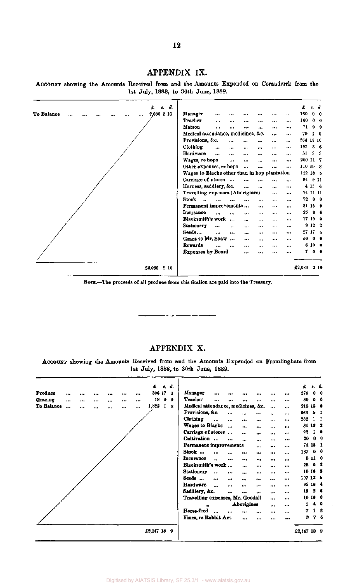#### APPENDIX IX.

**ACCOUNT** showing the Amounts Received from and the Amounts Expended on Coranderrk from the 1st July, 1888, to 30th June, 1889.



NOTE.—The proceeds of all produce from this Station are paid into the Treasury.

#### APPENDIX X.

ACCOUNT showing the Amounts Received from and the Amounts Expended on Framlingham from **1st** July, 1888, to 30th June, 1889.

|            |                      |      |      |          | £           |   | s, d.        | £                                                                                           |          | s. d.          |
|------------|----------------------|------|------|----------|-------------|---|--------------|---------------------------------------------------------------------------------------------|----------|----------------|
| Produce    |                      | <br> |      |          | 306 17      |   | 1            | Manager<br>270<br><br><br><br>***<br>                                                       |          | $0\quad 0$     |
| Grazing    | $\cdots$             | <br> | <br> |          | 18          | 0 | $\mathbf{0}$ | <b>Teacher</b><br>80<br>$\ddotsc$<br>$\cdots$<br><br>$\ddotsc$<br><br>$\cdots$              |          | $0\quad 0$     |
| To Balance | $\ddot{\phantom{a}}$ | <br> | <br> | $\cdots$ | 1,823       | 1 | 8            | Medical attendance, medicines, &c.<br>$\ddotsc$<br>                                         | 213 15 0 |                |
|            |                      |      |      |          |             |   |              | Provisions, &c.<br>666<br>$\cdots$<br>$\cdots$<br><br>$\cdots$<br>                          |          | 5 <sub>1</sub> |
|            |                      |      |      |          |             |   |              | Clothing<br>252<br><br><br>$\cdots$<br>$\cdots$<br><br>$\cdots$                             |          | $1\quad$       |
|            |                      |      |      |          |             |   |              | Wages to Blacks<br>$\ddot{\phantom{a}}$<br>$\cdots$<br>$\ddot{\phantom{0}}$<br>$\cdots$<br> | 81 13 2  |                |
|            |                      |      |      |          |             |   |              | Carriage of stores<br>22<br>$\cdots$<br><br>$***$<br><br>$\cdots$                           |          | 10             |
|            |                      |      |      |          |             |   |              | Cultivation<br>20<br><br><br><br>$\ddotsc$<br>                                              |          | 0 <sub>0</sub> |
|            |                      |      |      |          |             |   |              | Permanent improvements<br><br>$\cdots$<br>                                                  | 74 15 1  |                |
|            |                      |      |      |          |             |   |              | 187<br>Stock<br><br><br><br><br><br>$\ddot{\phantom{a}}$                                    |          | 0 <sub>0</sub> |
|            |                      |      |      |          |             |   |              | <b>Insurance</b><br>$\ddotsc$<br><br><br><br><br>                                           | 5110     |                |
|            |                      |      |      |          |             |   |              | Blacksmith's work<br>25<br><br><br><br>$\ddotsc$                                            |          | 0 <sub>2</sub> |
|            |                      |      |      |          |             |   |              | Stationery<br><br><br><br><br><br>$\cdots$                                                  | 10163    |                |
|            |                      |      |      |          |             |   |              | Seeds<br>$\bullet\bullet\bullet$<br><br><br><br><br>$\cdots$                                | 107 13 5 |                |
|            |                      |      |      |          |             |   |              | Hardware<br>$\ddot{\phantom{a}}$<br><br><br>$\cdots$<br><br>                                | 95 16 4  |                |
|            |                      |      |      |          |             |   |              | 18<br>Saddlery, &c.<br><br><br><br><br>                                                     |          | 2 <sub>6</sub> |
|            |                      |      |      |          |             |   |              | Travelling expenses, Mr. Goodall<br>$\cdots$<br>$\cdots$                                    | 10 16 0  |                |
|            |                      |      |      |          |             |   |              | Aborigines<br><br>$\cdots$<br>,,                                                            | 1        | 40             |
|            |                      |      |      |          |             |   |              | Horse-feed<br>7<br>$\ddot{\phantom{a}}$<br><br><br><br>$\cdots$<br>                         |          | $1 \t2$        |
|            |                      |      |      |          |             |   |              | Fines, re Rabbit Act<br>$\cdots$<br><br>$\cdots$<br>                                        | В        | 76             |
|            |                      |      |      |          | £2,147 18 9 |   |              | £2,147 18 9                                                                                 |          |                |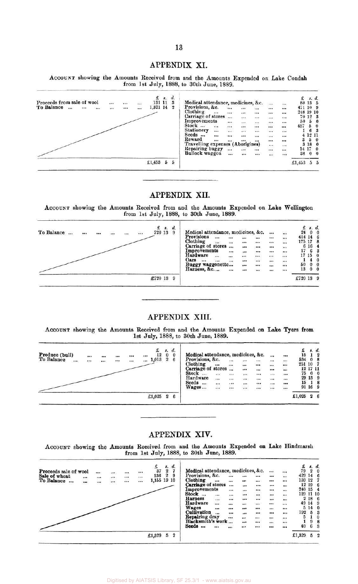#### APPENDIX XI.

ACCOUNT showing the Amounts Received from and the Amounts Expended on Lake Condah from 1st July, 1888, to 30th June, 1889.

|                                                |          |          |          |            | s. d.        |                                    |            |                             |          |                  |            |            |         | s. d.                               |  |
|------------------------------------------------|----------|----------|----------|------------|--------------|------------------------------------|------------|-----------------------------|----------|------------------|------------|------------|---------|-------------------------------------|--|
| Proceeds from sale of wool                     | $\cdots$ | $\cdots$ | $\ldots$ | 131 11     | $\mathbf{3}$ | Medical attendance, medicines, &c. |            |                             |          |                  |            |            | 88 13 5 |                                     |  |
| To Balance<br>$\cdots$<br>$\cdots$<br>$\cdots$ | 992      |          | $\cdots$ | 1,321 14 2 |              | Provisions, &c.                    | $\dddotsc$ | $\cdots$                    | $\cdots$ |                  | $\dddot{}$ | 471 10 9   |         |                                     |  |
|                                                |          |          |          |            |              | Clothing<br>                       |            |                             |          |                  |            | 248 19 10  |         |                                     |  |
|                                                |          |          |          |            |              | Carriage of stores                 |            | $\mathbf{r}$                |          |                  |            |            | 70 12 3 |                                     |  |
|                                                |          |          |          |            |              | Improvements                       |            | $\mathcal{W}^{\mathcal{X}}$ | $\cdots$ |                  |            | 50         | 5       |                                     |  |
|                                                |          |          |          |            |              | Stock<br>$\cdots$                  | $\dddot{}$ |                             |          | $\dddot{\cdots}$ |            | 457        | 5       |                                     |  |
|                                                |          |          |          |            |              | <b>Stationery</b><br>              |            | $\dddot{}$                  |          | $\cdots$         | $\cdots$   |            | 6       |                                     |  |
|                                                |          |          |          |            |              | Seeds<br>                          |            |                             | 2.7      | $\dddotsc$       | $\cdots$   |            | 4 12 11 |                                     |  |
|                                                |          |          |          |            |              | Reward<br>                         |            | $$                          |          |                  |            | 3          | 5       |                                     |  |
|                                                |          |          |          |            |              | Travelling expenses (Aborigines)   |            |                             |          |                  |            |            | 3 18    | $\mathbf{0}$                        |  |
|                                                |          |          |          |            |              | Repairing buggy                    | $\cdots$   |                             | $\cdots$ |                  |            | 14 17      |         | $\Omega$                            |  |
|                                                |          |          |          |            |              | <b>Bullock waggon</b>              | $\dddotsc$ | $\dddot{}$                  | $\cdots$ | W.               | $\cdots$   | 38         |         | $\begin{matrix} 0 & 0 \end{matrix}$ |  |
|                                                |          |          |          | £1,453 5   | 5            |                                    |            |                             |          |                  |            | £1,453 5 5 |         |                                     |  |

#### APPENDIX XII.

ACCOUNT showing the Amounts Received from and the Amounts Expended on Lake Wellington from 1st July, 1888, to 30th June, 1889.

| $f$ , $s$ , $d$ .<br>To Balance<br>720 13<br><br>$\cdots$<br><br>$\ddotsc$<br> | Medical attendance, medicines, &c.<br>Provisions<br><br><br><br>Clothing<br><br>$\cdots$<br>       | <br>$\cdots$     | $\cdots$<br><br> | $\ddot{\phantom{a}}$<br><br>$\cdots$ | 24<br>414 14 6<br>175 17 8 |              | s. d.<br>$0\quad 0$                                 |
|--------------------------------------------------------------------------------|----------------------------------------------------------------------------------------------------|------------------|------------------|--------------------------------------|----------------------------|--------------|-----------------------------------------------------|
|                                                                                | Carriage of stores<br><br>$\cdots$<br>Improvements<br><br><br>Hardware<br>$\cdots$<br>$\cdots$<br> | <br><br>         | $\cdots$<br><br> | <br><br>                             | 17<br>17                   | 6 16 4<br>15 | 6 <sub>3</sub><br>$\bf{0}$                          |
|                                                                                | Oars<br>$$<br><br><br><br>Buggy waggonette<br>$\cdots$<br>Harness, &c<br><br>                      | <br>$\cdots$<br> | <br><br>         | <br><br>                             | 50<br>13                   | $^{\circ}$   | $4\quad 0$<br>$\mathbf{0}$<br>$\boldsymbol{\theta}$ |
| £720 13 9                                                                      |                                                                                                    |                  |                  |                                      | £720 13 9                  |              |                                                     |

#### APPENDIX XIII.

ACCOUNT showing the Amounts Received from and the Amounts Expended on Lake Tyers from 1st July, 1888, to 30th June, 1889.

| Produce (bull)<br>To Balance<br> | <br>$\cdots$ | $$<br> | <br>$\cdots$ | <br>$\cdots$ | <br>$\cdots$ | £<br>12<br>1,013       | s.<br>$\mathbf{0}$<br>$\overline{2}$ | $d_{\cdot}$ | Medical attendance, medicines, &c.<br>Provisions, &c.<br>Clothing<br>Carriage of stores<br>Stock<br>Hardware<br>Seeds<br>$\cdots$<br>Wages | $\cdots$<br>$\cdots$<br><br><br> | <br><br><br>$$<br>1.00<br> | $\cdots$<br>$\vdots$<br>$\cdots$<br>$\cdots$<br>$\dddot{\cdots}$ | $\cdots$<br>$\cdots$<br>$\cdots$<br><br><br>::: | $$<br><br>$\cdots$<br>$\cdots$<br>$\cdots$<br>$\dddot{\cdots}$ | $\cdots$<br><br><br><br>$$<br><br><br>$\cdots$ | 15<br>534<br>251 10<br>75 | 12 17 11<br>15 <sub>1</sub> | s. d.<br>$0\quad 0$<br>29 13 9<br>91 16 9 |
|----------------------------------|--------------|--------|--------------|--------------|--------------|------------------------|--------------------------------------|-------------|--------------------------------------------------------------------------------------------------------------------------------------------|----------------------------------|----------------------------|------------------------------------------------------------------|-------------------------------------------------|----------------------------------------------------------------|------------------------------------------------|---------------------------|-----------------------------|-------------------------------------------|
|                                  |              |        |              |              |              | £1,025 $2\overline{6}$ |                                      |             |                                                                                                                                            |                                  |                            |                                                                  |                                                 |                                                                |                                                | £1,025 2 6                |                             |                                           |

#### APPENDIX XIV.

ACCOUNT showing the Amounts Received from and the Amounts Expended on Lake Hindmarsh from 1st July, 1888, to 30th June, 1889.

| Proceeds sale of wool<br>Sale of wheat |     | <br><br><br> | <br>$\cdots$ | $\cdots$<br> | 136           | $\overline{2}$ | 9 | Medical attendance, medicines, &c.<br>Provisions, &c. |            | $\cdots$ |                       |          | $\cdots$       | $\dddotsc$           | 429 14    |       |          |
|----------------------------------------|-----|--------------|--------------|--------------|---------------|----------------|---|-------------------------------------------------------|------------|----------|-----------------------|----------|----------------|----------------------|-----------|-------|----------|
| To Balance<br>$\cdots$                 |     | <br>$\cdots$ |              |              | 1,155 19 10   |                |   | Clothing                                              |            | $\cdots$ | $\cdots$              |          |                | $\cdots$             | 139 12    |       |          |
|                                        | 333 |              |              |              |               |                |   | Carriage of stores                                    |            |          | $\cdots$              | $\cdots$ | $\cdots$       |                      |           | 12 19 |          |
|                                        |     |              |              |              |               |                |   | Improvements                                          |            | $\cdots$ | $\dddot{\phantom{0}}$ |          |                |                      | 240 15    |       |          |
|                                        |     |              |              |              |               |                |   | <b>Stock</b><br>$\overline{\phantom{a}}$              | $\cdots$   |          |                       |          |                |                      | 129 11 10 |       |          |
|                                        |     |              |              |              |               |                |   | <b>Harness</b>                                        | $\dddotsc$ |          | $\cdots$              | $\cdots$ | $\ddotsc$      |                      |           | 2 18  | -6       |
|                                        |     |              |              |              |               |                |   | Hardware                                              |            |          | $\cdots$              |          | $\cdots$       | $\cdots$             |           | 49 14 | 9        |
|                                        |     |              |              |              |               |                |   | <b>Wages</b>                                          |            |          |                       | $\cdots$ |                |                      |           | 514   | $\Omega$ |
|                                        |     |              |              |              |               |                |   | Cultivation                                           |            |          |                       | $\cdots$ |                |                      | 192       | ь     |          |
|                                        |     |              |              |              |               |                |   | Repairing dray                                        |            |          | $\cdots$              |          | 223<br>        | 10092                | 5         |       | 0        |
|                                        |     |              |              |              |               |                |   | Blacksmith's work                                     |            |          | Ц.                    | -526<br> | me<br>$\cdots$ | $\cdots$<br>$\cdots$ |           |       |          |
|                                        |     |              |              |              |               |                |   | Seeds<br>                                             |            |          |                       | $\cdots$ |                | $\dddotsc$           | 40        | 6     | 3        |
|                                        |     |              |              |              | £1,329 $5\,2$ |                |   |                                                       |            |          |                       |          |                |                      | £1,329    |       |          |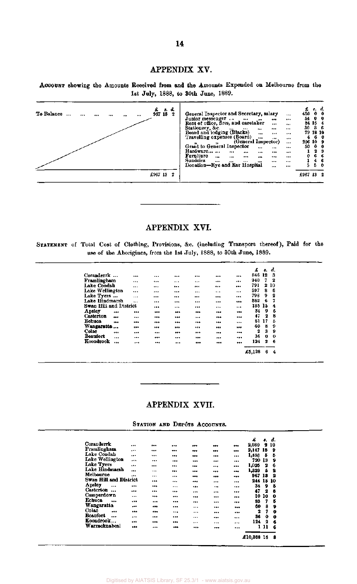#### APPENDIX XV.

ACCOUNT showing the Amounts Received from and the Amounts Expended on Melbourne from the 1st July, 1888, to 30th June, 1889.

| £<br>s. d.<br>To Balance<br>967 18<br>2<br>$\ddotsc$<br><br><br> | General Inspector and Secretary, salary<br>$\cdots$<br>Junior messenger<br>$\mathbf{r}$<br><br><br>Rent of office, fires, and caretaker<br><br>$\cdots$<br>Stationery, &c.<br><br>$\cdots$<br>$\cdots$<br><br><br>Board and lodging (Blacks)<br><br><br>$\cdots$                                                                         | 450<br>54<br>80   | 84 15 4<br>79 18 10 | e. d.<br>0 <sub>0</sub><br>0 <sub>0</sub><br>36 |
|------------------------------------------------------------------|------------------------------------------------------------------------------------------------------------------------------------------------------------------------------------------------------------------------------------------------------------------------------------------------------------------------------------------|-------------------|---------------------|-------------------------------------------------|
|                                                                  | Travelling expenses (Board)<br>$\cdots$<br><br><br>(General Inspector)<br>$\cdots$<br>Grant to General Inspector<br>$\cdots$<br>$\cdots$<br><br>Hardware<br>$\cdots$<br>$\cdots$<br><br><br><br>Furniture<br><br><br>$\cdots$<br>$$<br>$\cdots$<br>$\cdots$<br>Sundries<br><br><br><br><br><br><br>Donation-Eye and Ear Hospital<br><br> | 4<br>50<br>0<br>5 | 206 10 9<br>4.      | 60<br>0 <sub>0</sub><br>29<br>66<br>-6<br>50    |
| £967 13<br>2                                                     |                                                                                                                                                                                                                                                                                                                                          | £967 13 2         |                     |                                                 |

#### APPENDIX XVI.

STATEMENT of Total Cost of Clothing, Provisions, &c. (including Transport thereof), Paid for the use of the Aborigines, from the 1st July, 1888, to 30th June, 1889.

|                        |          |           |                  |         |          | £      | 8. | d. |
|------------------------|----------|-----------|------------------|---------|----------|--------|----|----|
| Coranderrk             |          |           | <br>             |         | <br>     | 846    | 12 | з  |
| Framlingham            |          |           | <br>             |         | <br>     | 940    | 7  | 2  |
| Lake Condah            |          | $\cdots$  | <br>$\mathbf{a}$ |         | <br>     | 791    | 2  | 10 |
| Lake Wellington        |          |           | <br>$\cdots$     |         | <br>     | 597    | 8  | 6  |
| Lake Tvers             |          | $\cdots$  | <br>             |         | <br>     | 798    | 9  | 2  |
| Lake Hindmarsh         |          | $\ddotsc$ | <br>             |         | <br>---  | 582    | 6  | 7  |
| Swan Hill and District |          |           | <br>             |         | <br>     | 185    | 15 | 4  |
| Apsley                 |          |           | <br>             |         | <br>---  | 34     | 9  | 5  |
| Casterton              |          |           | <br>             | $+ + 4$ | <br>     | 47     | 2  | 8  |
| <b>Echuca</b>          | 189      |           | <br>             |         | <br>     | 81     | 17 | Б  |
| Wangaratta             | $\cdots$ |           | <br>             |         | <br>     | 60     | 8  | 9  |
| Colac                  |          |           | <br>             |         | <br>10.4 | 2      | 3  | 9  |
| Beaufort               | $\cdots$ |           | <br>             |         | <br>     | 36     | 0  | 0  |
| Koondrook              | $\cdots$ | $\cdots$  | <br>             |         | <br>     | 124    | 2  | 6  |
|                        |          |           |                  |         |          | £5,128 | 6  | 4  |

### APPENDIX XVII.

STATION AND DEPÔTS ACCOUNTS.

|                               |           |          |       |          |              | £       | s. d.       |              |  |
|-------------------------------|-----------|----------|-------|----------|--------------|---------|-------------|--------------|--|
| Coranderrk                    |           |          |       |          | <br>$***$    | 2,080   |             | 2 10         |  |
| Framlingham                   | $\cdots$  |          |       |          | <br>         | 2,147   | 18          | $\bullet$    |  |
| Lake Condah                   |           |          |       |          | <br>         | 1,458   | 5           | 5            |  |
| Lake Wellington               |           |          |       | $\cdots$ | <br>         | 720     | 13          | 9            |  |
| Lake Tyers                    |           |          |       |          |              | 1,025   | 2           | 6            |  |
| Lake Hindmarsh                |           |          |       |          | <br>         |         |             |              |  |
| Melbourne                     |           | $***$    | $***$ |          | <br>         | 1,329   | 5           | 2            |  |
|                               | $\bullet$ |          |       |          | <br>---      | 967     | 13          | $\mathbf{2}$ |  |
| Swan Hill and District        |           |          |       |          | <br>         | 244 15  |             | 10           |  |
| Apsley<br>$\ddotsc$           |           |          |       |          | <br>         | 34      | 9           | 5            |  |
| <b>Casterton</b><br>$\ddotsc$ |           |          |       | .        | <br>         | 47      | 2           | 8            |  |
| Camperdown                    |           | $$       |       | 77.4     | <br>         | 10      | 10          | 0            |  |
| Echuca<br>$\cdots$            |           |          |       |          | <br>         | 83      | 7           | б            |  |
| Wangaratta                    | ,         |          |       |          |              | 60      | 8           | 9            |  |
| Colac                         |           |          |       |          | <br>         |         |             |              |  |
| <br>Beaufort                  |           | $***$    |       |          | <br>         | 2       | 7           | 0            |  |
|                               |           |          |       |          | <br>         | 86      | 0           | 0            |  |
| Koondrook                     |           | $\cdots$ |       |          | <br>$\cdots$ | 124     | $\mathbf 2$ | 6            |  |
| Warracknabeal                 |           |          |       |          | <br>         |         | 111         | 6            |  |
|                               |           |          |       |          |              |         |             |              |  |
|                               |           |          |       |          |              | £10,368 | 16          | 8            |  |
|                               |           |          |       |          |              |         |             |              |  |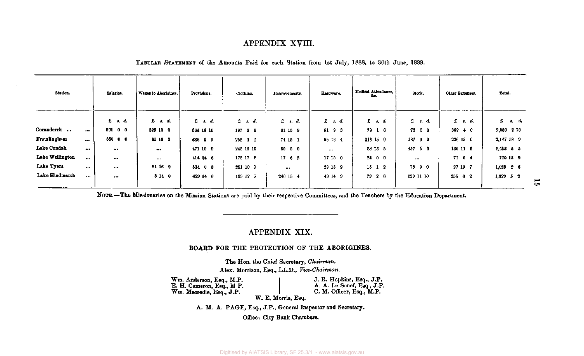#### APPENDIX XVIII.

## TABULAR STATEMENT of the Amounts Paid for each Station from 1st July, 1888, to 30th June, 1889.

| Station.        |                         | Salaries.      | Wages to Aborigines. | Provisions. | Clothing.         | Improvements. | Hardware. | Medical Attendance.<br>æc. | Stock.    | Other Expenses. | Total.                     |
|-----------------|-------------------------|----------------|----------------------|-------------|-------------------|---------------|-----------|----------------------------|-----------|-----------------|----------------------------|
|                 |                         | f: d.          | $f$ $f$ . $d$ .      | £ 8. d.     | $f$ , $s$ , $d$ , | $E$ s.d.      | 2.3.5     | $x \cdot d$                | $E$ s.d.  | $E$ a. d.       | $\mathfrak{L}$ $s$ , $d$ , |
| Coranderrk      | $\cdots$                | <b>891 0 0</b> | 323100               | 564 18 10   | 197 3 6           | 31 15 9       | 5193      | 79 1 6                     | 72 0 0    | $369 + 0$       | $2,080$ 2 10               |
| Framlingham     | $\bullet\bullet\bullet$ | 850 0 0        | 81 13 2              | 666 5 1     | $252$ 1 1         | 74 15 1       | 95 16 4   | 213 15 0                   | 18700     | 226 13 0        | 2,147 18 9                 |
| Lake Condah     |                         |                | $***$                | 471 10 9    | 248 19 10         | $50\ 5\ 0$    |           | 88 18 5                    | 457 5 0   | 136 11 5        | $1,453$ $5$ $5$            |
| Lake Wellington | $\cdots$                |                | $\cdots$             | $414$ 14 6  | 175 17 8          | 1768          | 17 15 0   | 24 0 0                     | $\cdots$  | 71 0 4          | 720 13 9                   |
| Lake Tyers      |                         |                | 91 16 9              | 534 0 8     | 251 10 7          | $\cdots$      | 29 13 9   | 15 1 2                     | 75 0 0    | 27 19 7         | $1,025$ 2 6                |
| Lake Hindmarsh  | $$                      | $***$          | 5 14 0               | 429 14 6    | 189 12 7          | 240 15 4      | 49 14 9   | 79 2 0                     | 129 11 10 | 25502           | 1,329 5 2                  |

NOTE.—The Missionaries on the Mission Stations are paid by their respective Committees, and the Teachers by the Education Department.

#### APPENDIX XIX.

#### BOARD FOR THE PROTECTION OF THE ABORIGINES.

The Hon. the Chief Secretary, *Chairman.*  Alex. Morrison, Esq., LL.D., *Vice-Chairman.* 

Wm. Anderson, Esq., M.P. E. H. Cameron, Esq., M.P. Wm. Macredie, Esq., J.P.

J. R. Hopkins, Esq., J.P. A. A. Le Souef, Esq., J.P. C. M. Officer, Esq., M.P.

*W.* E. Morris, Esq.

A. M. A. PAGE, Esq., J.P., General Inspector and Secretary.

Office: City Bank Chambars.